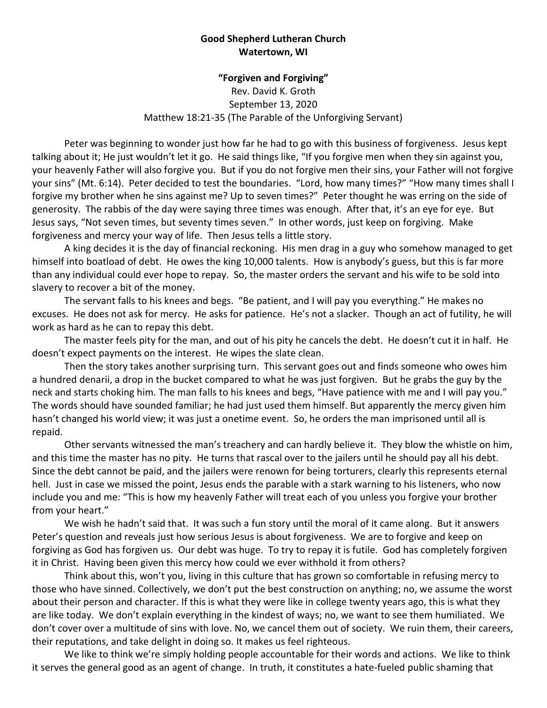## **Good Shepherd Lutheran Church Watertown, WI**

## **"Forgiven and Forgiving"**

Rev. David K. Groth September 13, 2020 Matthew 18:21-35 (The Parable of the Unforgiving Servant)

Peter was beginning to wonder just how far he had to go with this business of forgiveness. Jesus kept talking about it; He just wouldn't let it go. He said things like, "If you forgive men when they sin against you, your heavenly Father will also forgive you. But if you do not forgive men their sins, your Father will not forgive your sins" (Mt. 6:14). Peter decided to test the boundaries. "Lord, how many times?" "How many times shall I forgive my brother when he sins against me? Up to seven times?" Peter thought he was erring on the side of generosity. The rabbis of the day were saying three times was enough. After that, it's an eye for eye. But Jesus says, "Not seven times, but seventy times seven." In other words, just keep on forgiving. Make forgiveness and mercy your way of life. Then Jesus tells a little story.

A king decides it is the day of financial reckoning. His men drag in a guy who somehow managed to get himself into boatload of debt. He owes the king 10,000 talents. How is anybody's guess, but this is far more than any individual could ever hope to repay. So, the master orders the servant and his wife to be sold into slavery to recover a bit of the money.

The servant falls to his knees and begs. "Be patient, and I will pay you everything." He makes no excuses. He does not ask for mercy. He asks for patience. He's not a slacker. Though an act of futility, he will work as hard as he can to repay this debt.

The master feels pity for the man, and out of his pity he cancels the debt. He doesn't cut it in half. He doesn't expect payments on the interest. He wipes the slate clean.

Then the story takes another surprising turn. This servant goes out and finds someone who owes him a hundred denarii, a drop in the bucket compared to what he was just forgiven. But he grabs the guy by the neck and starts choking him. The man falls to his knees and begs, "Have patience with me and I will pay you." The words should have sounded familiar; he had just used them himself. But apparently the mercy given him hasn't changed his world view; it was just a onetime event. So, he orders the man imprisoned until all is repaid.

Other servants witnessed the man's treachery and can hardly believe it. They blow the whistle on him, and this time the master has no pity. He turns that rascal over to the jailers until he should pay all his debt. Since the debt cannot be paid, and the jailers were renown for being torturers, clearly this represents eternal hell. Just in case we missed the point, Jesus ends the parable with a stark warning to his listeners, who now include you and me: "This is how my heavenly Father will treat each of you unless you forgive your brother from your heart."

We wish he hadn't said that. It was such a fun story until the moral of it came along. But it answers Peter's question and reveals just how serious Jesus is about forgiveness. We are to forgive and keep on forgiving as God has forgiven us. Our debt was huge. To try to repay it is futile. God has completely forgiven it in Christ. Having been given this mercy how could we ever withhold it from others?

Think about this, won't you, living in this culture that has grown so comfortable in refusing mercy to those who have sinned. Collectively, we don't put the best construction on anything; no, we assume the worst about their person and character. If this is what they were like in college twenty years ago, this is what they are like today. We don't explain everything in the kindest of ways; no, we want to see them humiliated. We don't cover over a multitude of sins with love. No, we cancel them out of society. We ruin them, their careers, their reputations, and take delight in doing so. It makes us feel righteous.

We like to think we're simply holding people accountable for their words and actions. We like to think it serves the general good as an agent of change. In truth, it constitutes a hate-fueled public shaming that